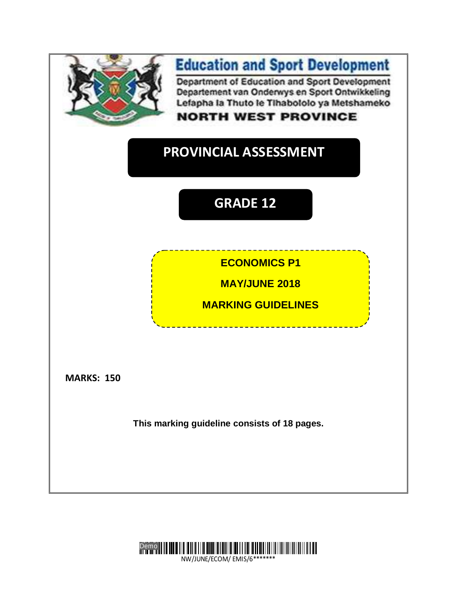

# **Education and Sport Development**

Department of Education and Sport Development Departement van Onderwys en Sport Ontwikkeling Lefapha la Thuto le Tihabololo ya Metshameko

## **NORTH WEST PROVINCE**

# **PROVINCIAL ASSESSMENT**

**GG GRADE 12**

## **ECONOMICS P1**

**MAY/JUNE 2018**

**MARKING GUIDELINES**

**MARKS: 150**

**This marking guideline consists of 18 pages.**



NW/JUNE/ECOM/ EMIS/6\*\*\*\*\*\*\*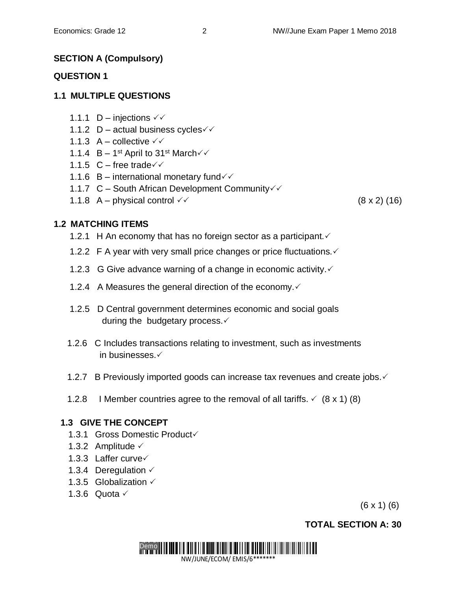## **SECTION A (Compulsory)**

#### **QUESTION 1**

## **1.1 MULTIPLE QUESTIONS**

- 1.1.1 D injections  $\sqrt{6}$
- 1.1.2 D actual business cycles  $\checkmark\checkmark$
- 1.1.3  $A -$  collective  $\checkmark\checkmark$
- 1.1.4  $B 1^{st}$  April to 31<sup>st</sup> March $\checkmark$
- 1.1.5  $C$  free trade $\checkmark$
- 1.1.6 B international monetary fund $\checkmark$
- 1.1.7 C South African Development Community
- 1.1.8 A physical control  $\checkmark$

## **1.2 MATCHING ITEMS**

- 1.2.1 H An economy that has no foreign sector as a participant.  $\checkmark$
- 1.2.2 F A year with very small price changes or price fluctuations.  $\checkmark$
- 1.2.3 G Give advance warning of a change in economic activity.  $\checkmark$
- 1.2.4 A Measures the general direction of the economy. $\checkmark$
- 1.2.5 D Central government determines economic and social goals during the budgetary process. $\checkmark$
- 1.2.6 C Includes transactions relating to investment, such as investments in businesses.
- 1.2.7 B Previously imported goods can increase tax revenues and create jobs. ✓
- 1.2.8 I Member countries agree to the removal of all tariffs.  $\check{\phantom{1}}$  (8 x 1) (8)

## **1.3 GIVE THE CONCEPT**

- 1.3.1 Gross Domestic Product
- 1.3.2 Amplitude  $\checkmark$
- 1.3.3 Laffer curve
- 1.3.4 Deregulation  $\checkmark$
- 1.3.5 Globalization  $\checkmark$
- 1.3.6 Quota  $\checkmark$

(6 x 1) (6)

## **TOTAL SECTION A: 30**

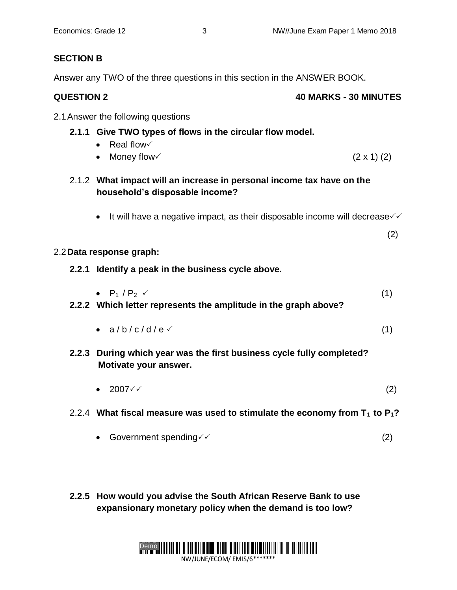## **SECTION B**

Answer any TWO of the three questions in this section in the ANSWER BOOK.

| <b>QUESTION 2</b> | <b>40 MARKS - 30 MINUTES</b> |
|-------------------|------------------------------|
|                   |                              |

2.1Answer the following questions

## **2.1.1 Give TWO types of flows in the circular flow model.**

- $\bullet$  Real flow $\checkmark$
- Money flow  $(2 \times 1)$  (2)
- 2.1.2 **What impact will an increase in personal income tax have on the household's disposable income?**
	- It will have a negative impact, as their disposable income will decrease  $\checkmark$

(2)

#### 2.2**Data response graph:**

- **2.2.1 Identify a peak in the business cycle above.** 
	- $P_1 / P_2 \t\t(1)$
- **2.2.2 Which letter represents the amplitude in the graph above?** 
	- $a/b/c/d/e$  (1)
- **2.2.3 During which year was the first business cycle fully completed? Motivate your answer.** 
	- $2007 \checkmark$  (2)
- 2.2.4 **What fiscal measure was used to stimulate the economy from T1 to P1?**
	- Government spending  $\checkmark$  (2)
- **2.2.5 How would you advise the South African Reserve Bank to use expansionary monetary policy when the demand is too low?**

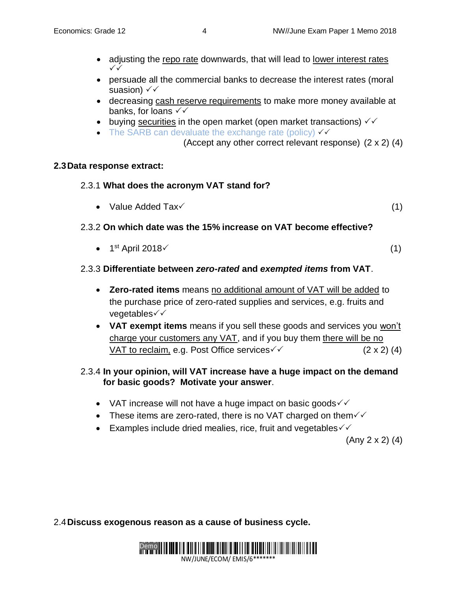- adjusting the repo rate downwards, that will lead to lower interest rates  $\checkmark$
- persuade all the commercial banks to decrease the interest rates (moral suasion)  $\checkmark\checkmark$
- decreasing cash reserve requirements to make more money available at banks, for loans  $\checkmark\checkmark$
- buying securities in the open market (open market transactions)  $\sqrt{6}$
- The SARB can devaluate the exchange rate (policy)  $\checkmark\checkmark$ 
	- (Accept any other correct relevant response) (2 x 2) (4)

#### **2.3Data response extract:**

- 2.3.1 **What does the acronym VAT stand for?**
	- Value Added  $\text{Tax} \qquad \qquad (1)$

## 2.3.2 **On which date was the 15% increase on VAT become effective?**

•  $1<sup>st</sup>$  April 2018 $\checkmark$  (1)

## 2.3.3 **Differentiate between** *zero-rated* **and** *exempted items* **from VAT**.

- **Zero-rated items** means no additional amount of VAT will be added to the purchase price of zero-rated supplies and services, e.g. fruits and vegetables√√
- **VAT exempt items** means if you sell these goods and services you won't charge your customers any VAT, and if you buy them there will be no VAT to reclaim, e.g. Post Office services  $\checkmark$  (2 x 2) (4)

#### 2.3.4 **In your opinion, will VAT increase have a huge impact on the demand for basic goods? Motivate your answer**.

- VAT increase will not have a huge impact on basic goods  $\checkmark\checkmark$
- These items are zero-rated, there is no VAT charged on them $\sqrt{\sqrt{ }}$
- Examples include dried mealies, rice, fruit and vegetables  $\checkmark\checkmark$

(Any 2 x 2) (4)

2.4**Discuss exogenous reason as a cause of business cycle.**

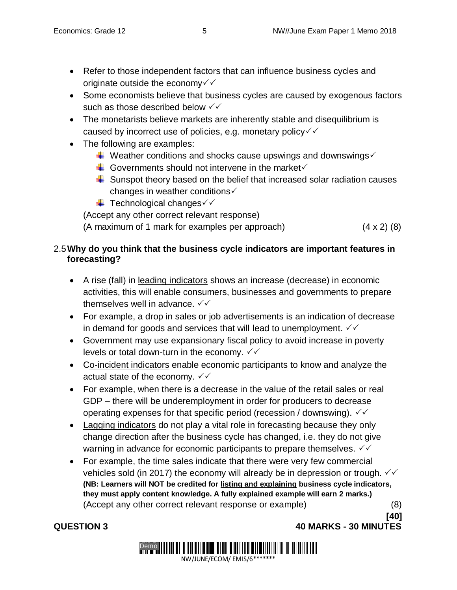**[40]**

- Refer to those independent factors that can influence business cycles and originate outside the economy  $\checkmark$
- Some economists believe that business cycles are caused by exogenous factors such as those described below  $\checkmark\checkmark$
- The monetarists believe markets are inherently stable and disequilibrium is caused by incorrect use of policies, e.g. monetary policy $\checkmark\checkmark$
- The following are examples:
	- $\overline{\text{L}}$  Weather conditions and shocks cause upswings and downswings  $\checkmark$
	- $\downarrow$  Governments should not intervene in the market  $\checkmark$
	- $\ddot{\bullet}$  Sunspot theory based on the belief that increased solar radiation causes changes in weather conditions $\checkmark$
	- $\overline{\phantom{a}}$  Technological changes $\checkmark$

(Accept any other correct relevant response)

(A maximum of 1 mark for examples per approach) (4 x 2) (8)

## 2.5**Why do you think that the business cycle indicators are important features in forecasting?**

- A rise (fall) in leading indicators shows an increase (decrease) in economic activities, this will enable consumers, businesses and governments to prepare themselves well in advance.  $\checkmark\checkmark$
- For example, a drop in sales or job advertisements is an indication of decrease in demand for goods and services that will lead to unemployment.  $\checkmark\checkmark$
- Government may use expansionary fiscal policy to avoid increase in poverty levels or total down-turn in the economy.  $\checkmark\checkmark$
- Co-incident indicators enable economic participants to know and analyze the actual state of the economy.  $\checkmark\checkmark$
- For example, when there is a decrease in the value of the retail sales or real GDP – there will be underemployment in order for producers to decrease operating expenses for that specific period (recession / downswing).  $\checkmark\checkmark$
- Lagging indicators do not play a vital role in forecasting because they only change direction after the business cycle has changed, i.e. they do not give warning in advance for economic participants to prepare themselves.  $\sqrt{6}$
- For example, the time sales indicate that there were very few commercial vehicles sold (in 2017) the economy will already be in depression or trough.  $\checkmark\checkmark$ **(NB: Learners will NOT be credited for listing and explaining business cycle indicators, they must apply content knowledge. A fully explained example will earn 2 marks.)** (Accept any other correct relevant response or example) (8)

**QUESTION 3 40 MARKS - 30 MINUTES**

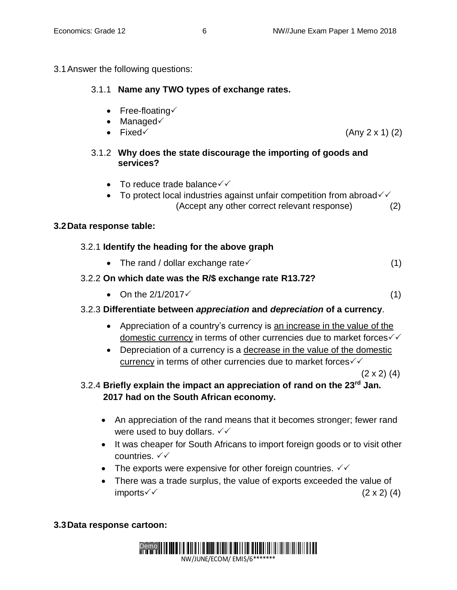3.1Answer the following questions:

## 3.1.1 **Name any TWO types of exchange rates.**

- Free-floating $\checkmark$
- $\bullet$  Managed $\checkmark$
- 
- Fixed  $\checkmark$  (Any 2 x 1) (2)

## 3.1.2 **Why does the state discourage the importing of goods and services?**

- To reduce trade balance  $\checkmark\checkmark$
- To protect local industries against unfair competition from abroad $\checkmark\checkmark$ (Accept any other correct relevant response) (2)

## **3.2Data response table:**

## 3.2.1 **Identify the heading for the above graph**

• The rand / dollar exchange rate  $(1)$ 

## 3.2.2 **On which date was the R/\$ exchange rate R13.72?**

• On the  $2/1/2017 \checkmark$  (1)

## 3.2.3 **Differentiate between** *appreciation* **and** *depreciation* **of a currency**.

- Appreciation of a country's currency is an increase in the value of the domestic currency in terms of other currencies due to market forces $\checkmark\checkmark$
- Depreciation of a currency is a decrease in the value of the domestic currency in terms of other currencies due to market forces  $\checkmark\checkmark$

 $(2 \times 2)$   $(4)$ 

- 3.2.4 **Briefly explain the impact an appreciation of rand on the 23rd Jan. 2017 had on the South African economy.**
	- An appreciation of the rand means that it becomes stronger; fewer rand were used to buy dollars.  $\sqrt{6}$
	- It was cheaper for South Africans to import foreign goods or to visit other countries. √√
	- The exports were expensive for other foreign countries.  $\sqrt{6}$
	- There was a trade surplus, the value of exports exceeded the value of  $\text{imports} \checkmark$  (2 x 2) (4)

## **3.3Data response cartoon:**

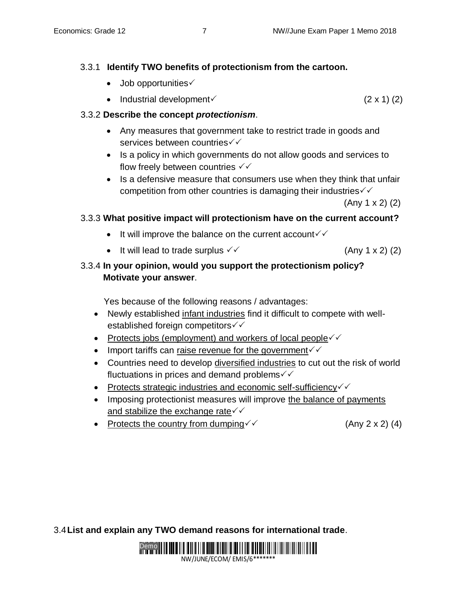## 3.3.1 **Identify TWO benefits of protectionism from the cartoon.**

- $\bullet$  Job opportunities $\checkmark$
- Industrial development  $(2 \times 1)$  (2)

## 3.3.2 **Describe the concept** *protectionism*.

- Any measures that government take to restrict trade in goods and services between countries  $\checkmark\checkmark$
- Is a policy in which governments do not allow goods and services to flow freely between countries  $\checkmark\checkmark$
- Is a defensive measure that consumers use when they think that unfair competition from other countries is damaging their industries  $\checkmark\checkmark$

(Any 1 x 2) (2)

## 3.3.3 **What positive impact will protectionism have on the current account?**

- It will improve the balance on the current account  $\checkmark$
- It will lead to trade surplus  $\checkmark$  (Any 1 x 2) (2)

## 3.3.4 **In your opinion, would you support the protectionism policy? Motivate your answer**.

Yes because of the following reasons / advantages:

- Newly established infant industries find it difficult to compete with wellestablished foreign competitors  $\checkmark\checkmark$
- Protects jobs (employment) and workers of local people $\checkmark$
- Import tariffs can raise revenue for the government  $\checkmark$
- Countries need to develop diversified industries to cut out the risk of world fluctuations in prices and demand problems $\checkmark\checkmark$
- Protects strategic industries and economic self-sufficiency $\checkmark$
- Imposing protectionist measures will improve the balance of payments and stabilize the exchange rate  $\checkmark\checkmark$
- Protects the country from dumping  $\checkmark$  (Any 2 x 2) (4)

3.4**List and explain any TWO demand reasons for international trade**.

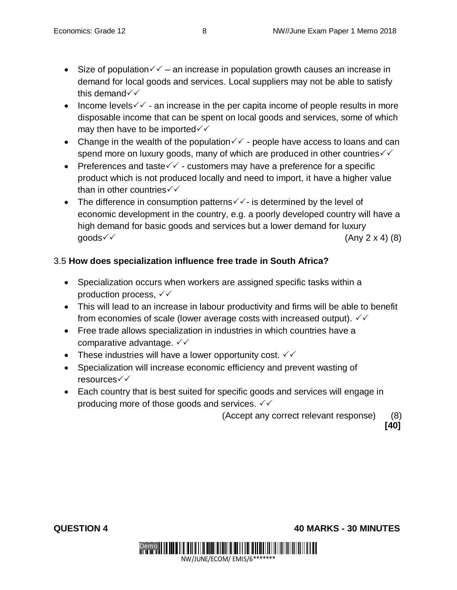- Size of population  $\checkmark$  an increase in population growth causes an increase in demand for local goods and services. Local suppliers may not be able to satisfy this demand  $\checkmark$
- Income levels  $\checkmark$  an increase in the per capita income of people results in more disposable income that can be spent on local goods and services, some of which may then have to be imported  $\checkmark\checkmark$
- Change in the wealth of the population  $\checkmark$  people have access to loans and can spend more on luxury goods, many of which are produced in other countries  $\checkmark\checkmark$
- Preferences and taste $\checkmark$  customers may have a preference for a specific product which is not produced locally and need to import, it have a higher value than in other countries  $\checkmark\checkmark$
- The difference in consumption patterns  $\checkmark$  is determined by the level of economic development in the country, e.g. a poorly developed country will have a high demand for basic goods and services but a lower demand for luxury  $\mathsf{qoods} \checkmark$  (Any 2 x 4) (8)

## 3.5 **How does specialization influence free trade in South Africa?**

- Specialization occurs when workers are assigned specific tasks within a production process,  $\checkmark\checkmark$
- This will lead to an increase in labour productivity and firms will be able to benefit from economies of scale (lower average costs with increased output).  $\sqrt{6}$
- Free trade allows specialization in industries in which countries have a comparative advantage.  $\checkmark\checkmark$
- These industries will have a lower opportunity cost.  $\checkmark\checkmark$
- Specialization will increase economic efficiency and prevent wasting of resources
- Each country that is best suited for specific goods and services will engage in producing more of those goods and services.  $\sqrt{\sqrt{ }}$

(Accept any correct relevant response) (8)

**[40]**

**QUESTION 4 40 MARKS - 30 MINUTES** 

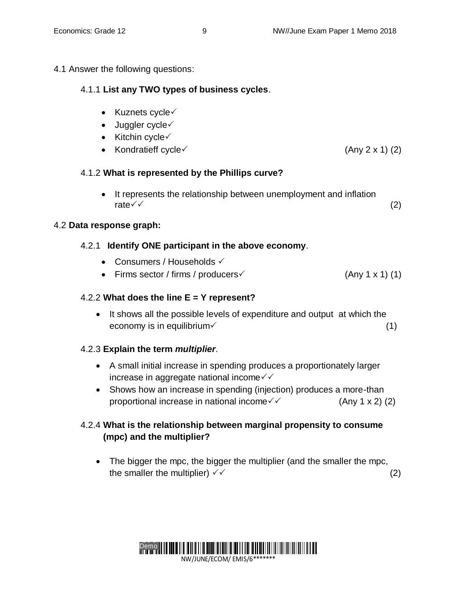## 4.1 Answer the following questions:

## 4.1.1 **List any TWO types of business cycles**.

- $\bullet$  Kuznets cycle $\checkmark$
- $\bullet$  Juggler cycle $\checkmark$
- $\bullet$  Kitchin cycle $\checkmark$
- Kondratieff cycle $\checkmark$  (Any 2 x 1) (2)

## 4.1.2 **What is represented by the Phillips curve?**

• It represents the relationship between unemployment and inflation rate  $\checkmark$  (2)

## 4.2 **Data response graph:**

## 4.2.1 **Identify ONE participant in the above economy**.

- Consumers / Households  $\checkmark$
- Firms sector / firms / producers  $($ Any 1 x 1) (1)

## 4.2.2 **What does the line E = Y represent?**

• It shows all the possible levels of expenditure and output at which the economy is in equilibrium  $(1)$ 

## 4.2.3 **Explain the term** *multiplier*.

- A small initial increase in spending produces a proportionately larger increase in aggregate national income $\sqrt{\sqrt{ }}$
- Shows how an increase in spending (injection) produces a more-than proportional increase in national income  $\checkmark$  (Any 1 x 2) (2)

## 4.2.4 **What is the relationship between marginal propensity to consume (mpc) and the multiplier?**

• The bigger the mpc, the bigger the multiplier (and the smaller the mpc, the smaller the multiplier)  $\checkmark$  (2)

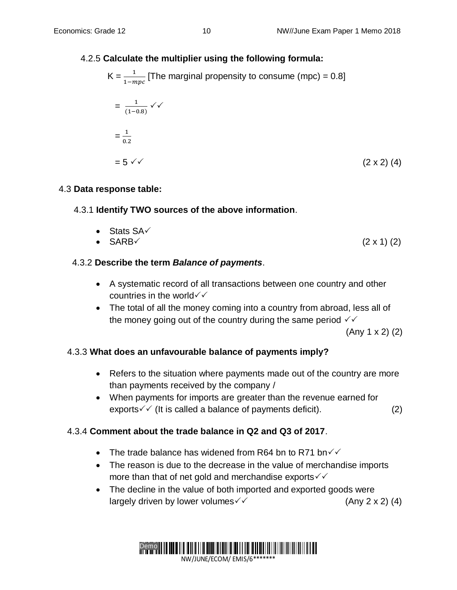## 4.2.5 **Calculate the multiplier using the following formula:**

$$
K = \frac{1}{1 - mpc}
$$
 [The marginal propensity to consume (mpc) = 0.8]  
=  $\frac{1}{(1 - 0.8)} \checkmark$   
=  $\frac{1}{0.2}$   
=  $5 \checkmark$  (2 x 2) (4)

#### 4.3 **Data response table:**

## 4.3.1 **Identify TWO sources of the above information**.

• Stats  $SA\checkmark$ •  $SARB \t(2 \times 1) (2)$ 

## 4.3.2 **Describe the term** *Balance of payments*.

- A systematic record of all transactions between one country and other countries in the world $\checkmark$
- The total of all the money coming into a country from abroad, less all of the money going out of the country during the same period  $\checkmark\checkmark$

(Any 1 x 2) (2)

## 4.3.3 **What does an unfavourable balance of payments imply?**

- Refers to the situation where payments made out of the country are more than payments received by the company /
- When payments for imports are greater than the revenue earned for exports  $\checkmark$  (It is called a balance of payments deficit). (2)

## 4.3.4 **Comment about the trade balance in Q2 and Q3 of 2017**.

- The trade balance has widened from R64 bn to R71 bn $\checkmark$
- The reason is due to the decrease in the value of merchandise imports more than that of net gold and merchandise exports  $\checkmark\checkmark$
- The decline in the value of both imported and exported goods were largely driven by lower volumes  $\checkmark$  (Any 2 x 2) (4)

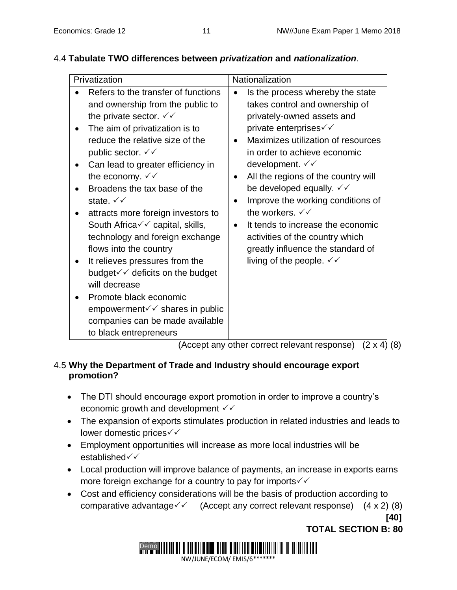| Privatization                                                                                                                                                                                                                                                                                                                                                                                                                                                                                                                                                                                                                                                                                                                                                              | Nationalization                                                                                                                                                                                                                                                                                                                                                                                                                                                                                                                                                                                          |
|----------------------------------------------------------------------------------------------------------------------------------------------------------------------------------------------------------------------------------------------------------------------------------------------------------------------------------------------------------------------------------------------------------------------------------------------------------------------------------------------------------------------------------------------------------------------------------------------------------------------------------------------------------------------------------------------------------------------------------------------------------------------------|----------------------------------------------------------------------------------------------------------------------------------------------------------------------------------------------------------------------------------------------------------------------------------------------------------------------------------------------------------------------------------------------------------------------------------------------------------------------------------------------------------------------------------------------------------------------------------------------------------|
| Refers to the transfer of functions<br>and ownership from the public to<br>the private sector. $\checkmark\checkmark$<br>The aim of privatization is to<br>reduce the relative size of the<br>public sector. $\checkmark\checkmark$<br>Can lead to greater efficiency in<br>the economy. $\sqrt{\sqrt{}}$<br>Broadens the tax base of the<br>state. $\checkmark\checkmark$<br>attracts more foreign investors to<br>South Africa $\checkmark\checkmark$ capital, skills,<br>technology and foreign exchange<br>flows into the country<br>It relieves pressures from the<br>budget $\checkmark$ deficits on the budget<br>will decrease<br>Promote black economic<br>empowerment $\checkmark$ shares in public<br>companies can be made available<br>to black entrepreneurs | Is the process whereby the state<br>takes control and ownership of<br>privately-owned assets and<br>private enterprises $\checkmark\checkmark$<br>Maximizes utilization of resources<br>$\bullet$<br>in order to achieve economic<br>development. $\checkmark\checkmark$<br>All the regions of the country will<br>be developed equally. $\checkmark\checkmark$<br>Improve the working conditions of<br>the workers. $\checkmark\checkmark$<br>It tends to increase the economic<br>activities of the country which<br>greatly influence the standard of<br>living of the people. $\checkmark\checkmark$ |

## 4.4 **Tabulate TWO differences between** *privatization* **and** *nationalization*.

(Accept any other correct relevant response) (2 x 4) (8)

## 4.5 **Why the Department of Trade and Industry should encourage export promotion?**

- The DTI should encourage export promotion in order to improve a country's economic growth and development  $\checkmark\checkmark$
- The expansion of exports stimulates production in related industries and leads to lower domestic prices
- Employment opportunities will increase as more local industries will be established
- Local production will improve balance of payments, an increase in exports earns more foreign exchange for a country to pay for imports  $\checkmark\checkmark$
- Cost and efficiency considerations will be the basis of production according to comparative advantage  $\checkmark$  (Accept any correct relevant response) (4 x 2) (8)

**[40]**





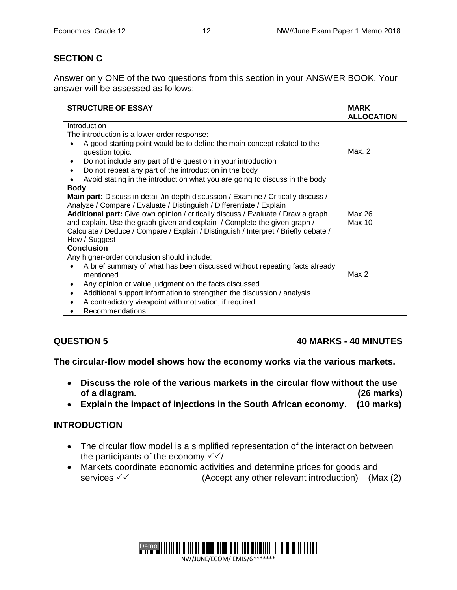## **SECTION C**

Answer only ONE of the two questions from this section in your ANSWER BOOK. Your answer will be assessed as follows:

| <b>STRUCTURE OF ESSAY</b>                                                                                                                                                                                                                                                                                                                                                                                                           | <b>MARK</b><br><b>ALLOCATION</b> |
|-------------------------------------------------------------------------------------------------------------------------------------------------------------------------------------------------------------------------------------------------------------------------------------------------------------------------------------------------------------------------------------------------------------------------------------|----------------------------------|
| Introduction                                                                                                                                                                                                                                                                                                                                                                                                                        |                                  |
| The introduction is a lower order response:                                                                                                                                                                                                                                                                                                                                                                                         |                                  |
| A good starting point would be to define the main concept related to the<br>question topic.                                                                                                                                                                                                                                                                                                                                         | Max. 2                           |
| Do not include any part of the question in your introduction                                                                                                                                                                                                                                                                                                                                                                        |                                  |
| Do not repeat any part of the introduction in the body<br>$\bullet$                                                                                                                                                                                                                                                                                                                                                                 |                                  |
| Avoid stating in the introduction what you are going to discuss in the body                                                                                                                                                                                                                                                                                                                                                         |                                  |
| <b>Body</b>                                                                                                                                                                                                                                                                                                                                                                                                                         |                                  |
| Main part: Discuss in detail /in-depth discussion / Examine / Critically discuss /<br>Analyze / Compare / Evaluate / Distinguish / Differentiate / Explain<br>Additional part: Give own opinion / critically discuss / Evaluate / Draw a graph<br>and explain. Use the graph given and explain / Complete the given graph /<br>Calculate / Deduce / Compare / Explain / Distinguish / Interpret / Briefly debate /<br>How / Suggest | Max 26<br>Max 10                 |
| <b>Conclusion</b>                                                                                                                                                                                                                                                                                                                                                                                                                   |                                  |
| Any higher-order conclusion should include:<br>A brief summary of what has been discussed without repeating facts already<br>mentioned                                                                                                                                                                                                                                                                                              | Max 2                            |
| Any opinion or value judgment on the facts discussed<br>٠<br>Additional support information to strengthen the discussion / analysis<br>A contradictory viewpoint with motivation, if required<br><b>Recommendations</b>                                                                                                                                                                                                             |                                  |

## **QUESTION 5 40 MARKS - 40 MINUTES**

**The circular-flow model shows how the economy works via the various markets.** 

- **Discuss the role of the various markets in the circular flow without the use of a diagram. (26 marks)**
- **Explain the impact of injections in the South African economy. (10 marks)**

#### **INTRODUCTION**

- The circular flow model is a simplified representation of the interaction between the participants of the economy  $\sqrt{\sqrt{}}$
- Markets coordinate economic activities and determine prices for goods and services  $\checkmark$  (Accept any other relevant introduction) (Max (2)

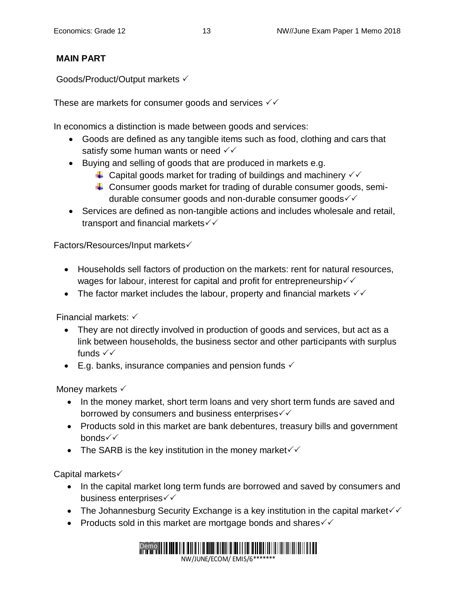## **MAIN PART**

Goods/Product/Output markets

These are markets for consumer goods and services  $\sqrt{\sqrt{ }}$ 

In economics a distinction is made between goods and services:

- Goods are defined as any tangible items such as food, clothing and cars that satisfy some human wants or need  $\checkmark$
- Buying and selling of goods that are produced in markets e.g.
	- $\downarrow$  Capital goods market for trading of buildings and machinery  $\checkmark$
	- $\ddot{+}$  Consumer goods market for trading of durable consumer goods, semidurable consumer goods and non-durable consumer goods  $\checkmark$
- Services are defined as non-tangible actions and includes wholesale and retail, transport and financial markets

Factors/Resources/Input markets

- Households sell factors of production on the markets: rent for natural resources, wages for labour, interest for capital and profit for entrepreneurship  $\checkmark\checkmark$
- The factor market includes the labour, property and financial markets  $\checkmark\checkmark$

Financial markets:

- They are not directly involved in production of goods and services, but act as a link between households, the business sector and other participants with surplus funds  $\checkmark\checkmark$
- $\bullet$  E.g. banks, insurance companies and pension funds  $\checkmark$

Money markets  $\checkmark$ 

- In the money market, short term loans and very short term funds are saved and borrowed by consumers and business enterprises  $\checkmark$
- Products sold in this market are bank debentures, treasury bills and government  $b$ onds $\checkmark$
- The SARB is the key institution in the money market  $\checkmark$

Capital markets

- In the capital market long term funds are borrowed and saved by consumers and business enterprises  $\checkmark\checkmark$
- The Johannesburg Security Exchange is a key institution in the capital market $\checkmark$
- Products sold in this market are mortgage bonds and shares  $\checkmark\checkmark$

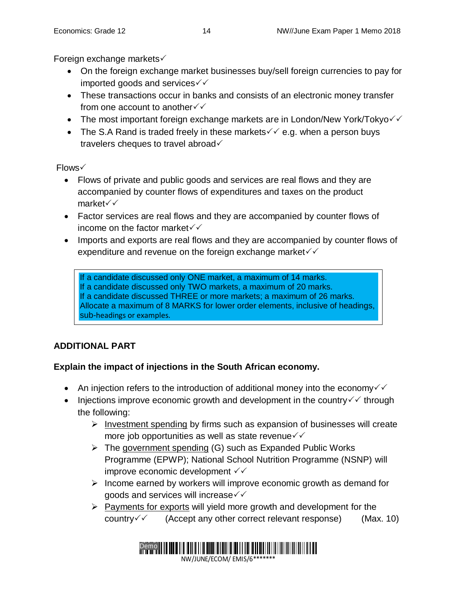Foreign exchange markets

- On the foreign exchange market businesses buy/sell foreign currencies to pay for imported goods and services
- These transactions occur in banks and consists of an electronic money transfer from one account to another  $\checkmark\checkmark$
- The most important foreign exchange markets are in London/New York/Tokyo $\checkmark$
- The S.A Rand is traded freely in these markets  $\checkmark$  e.g. when a person buys travelers cheques to travel abroad  $\checkmark$

Flows

- Flows of private and public goods and services are real flows and they are accompanied by counter flows of expenditures and taxes on the product market√√
- Factor services are real flows and they are accompanied by counter flows of income on the factor market  $\checkmark\checkmark$
- Imports and exports are real flows and they are accompanied by counter flows of expenditure and revenue on the foreign exchange market  $\checkmark\checkmark$

If a candidate discussed only ONE market, a maximum of 14 marks. If a candidate discussed only TWO markets, a maximum of 20 marks. If a candidate discussed THREE or more markets; a maximum of 26 marks. Allocate a maximum of 8 MARKS for lower order elements, inclusive of headings, sub-headings or examples.

## **ADDITIONAL PART**

## **Explain the impact of injections in the South African economy.**

- An injection refers to the introduction of additional money into the economy  $\checkmark$
- Injections improve economic growth and development in the country  $\checkmark\checkmark$  through the following:
	- $\triangleright$  Investment spending by firms such as expansion of businesses will create more job opportunities as well as state revenue  $\checkmark\checkmark$
	- $\triangleright$  The government spending (G) such as Expanded Public Works Programme (EPWP); National School Nutrition Programme (NSNP) will improve economic development
	- $\triangleright$  Income earned by workers will improve economic growth as demand for goods and services will increase  $\checkmark\checkmark$
	- $\triangleright$  Payments for exports will yield more growth and development for the country  $\checkmark$  (Accept any other correct relevant response) (Max. 10)

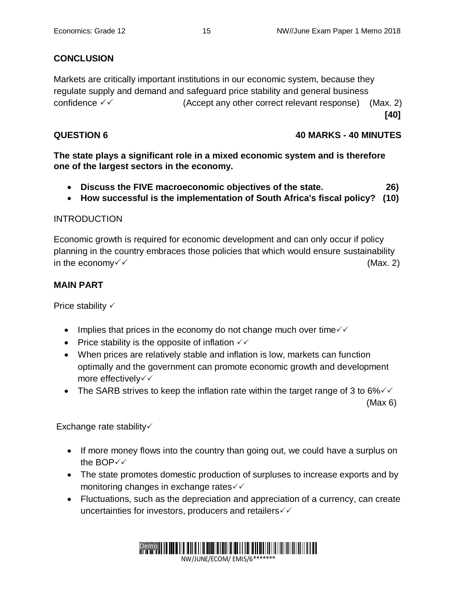## **CONCLUSION**

Markets are critically important institutions in our economic system, because they regulate supply and demand and safeguard price stability and general business confidence  $\sqrt{6}$  (Accept any other correct relevant response) (Max. 2) **[40]**

## **QUESTION 6 40 MARKS - 40 MINUTES**

**The state plays a significant role in a mixed economic system and is therefore one of the largest sectors in the economy.** 

- **Discuss the FIVE macroeconomic objectives of the state. 26)**
- **How successful is the implementation of South Africa's fiscal policy? (10)**

## **INTRODUCTION**

Economic growth is required for economic development and can only occur if policy planning in the country embraces those policies that which would ensure sustainability in the economy  $\checkmark$  (Max. 2)

## **MAIN PART**

Price stability  $\checkmark$ 

- Implies that prices in the economy do not change much over time  $\checkmark\checkmark$
- Price stability is the opposite of inflation  $\checkmark\checkmark$
- When prices are relatively stable and inflation is low, markets can function optimally and the government can promote economic growth and development more effectively  $\checkmark$
- The SARB strives to keep the inflation rate within the target range of 3 to 6% $\checkmark\checkmark$

 $(Max 6)$ 

Exchange rate stability

- If more money flows into the country than going out, we could have a surplus on the BOP√√
- The state promotes domestic production of surpluses to increase exports and by monitoring changes in exchange rates√
- Fluctuations, such as the depreciation and appreciation of a currency, can create uncertainties for investors, producers and retailers  $\checkmark\checkmark$

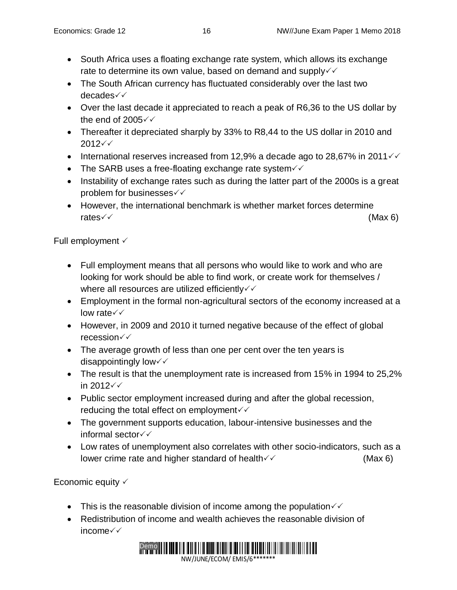- South Africa uses a floating exchange rate system, which allows its exchange rate to determine its own value, based on demand and supply $\checkmark\checkmark$
- The South African currency has fluctuated considerably over the last two decades
- Over the last decade it appreciated to reach a peak of R6,36 to the US dollar by the end of 2005 $\checkmark\checkmark$
- Thereafter it depreciated sharply by 33% to R8,44 to the US dollar in 2010 and  $2012 \check{v}$
- International reserves increased from 12,9% a decade ago to 28,67% in 2011 $\checkmark$
- The SARB uses a free-floating exchange rate system  $\checkmark$
- Instability of exchange rates such as during the latter part of the 2000s is a great problem for businesses
- However, the international benchmark is whether market forces determine rates  $\checkmark$  (Max 6)

Full employment  $\checkmark$ 

- Full employment means that all persons who would like to work and who are looking for work should be able to find work, or create work for themselves / where all resources are utilized efficiently  $\checkmark\$
- Employment in the formal non-agricultural sectors of the economy increased at a low rate√√
- However, in 2009 and 2010 it turned negative because of the effect of global recession
- The average growth of less than one per cent over the ten years is disappointingly low $\checkmark\checkmark$
- The result is that the unemployment rate is increased from 15% in 1994 to 25,2% in 2012
- Public sector employment increased during and after the global recession, reducing the total effect on employment $\checkmark$
- The government supports education, labour-intensive businesses and the informal sector
- Low rates of unemployment also correlates with other socio-indicators, such as a lower crime rate and higher standard of health  $\checkmark$   $\checkmark$  (Max 6)

Economic equity  $\checkmark$ 

- This is the reasonable division of income among the population  $\checkmark\checkmark$
- Redistribution of income and wealth achieves the reasonable division of income

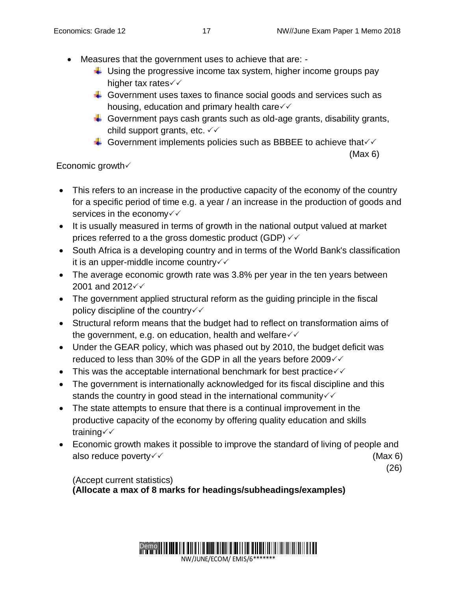- Measures that the government uses to achieve that are:
	- $\ddot{\phantom{1}}$  Using the progressive income tax system, higher income groups pay higher tax rates $\checkmark\checkmark$
	- Government uses taxes to finance social goods and services such as housing, education and primary health care $\sqrt{\sqrt{ }}$
	- $\ddotplus$  Government pays cash grants such as old-age grants, disability grants, child support grants, etc.  $\checkmark\checkmark$
	- Government implements policies such as BBBEE to achieve that  $\checkmark$

#### $(Max 6)$

## Economic growth  $\checkmark$

- This refers to an increase in the productive capacity of the economy of the country for a specific period of time e.g. a year / an increase in the production of goods and services in the economy $\checkmark\checkmark$
- It is usually measured in terms of growth in the national output valued at market prices referred to a the gross domestic product (GDP)  $\checkmark\checkmark$
- South Africa is a developing country and in terms of the World Bank's classification it is an upper-middle income country
- The average economic growth rate was 3.8% per year in the ten years between 2001 and 2012 $\checkmark$
- The government applied structural reform as the guiding principle in the fiscal policy discipline of the country  $\checkmark\checkmark$
- Structural reform means that the budget had to reflect on transformation aims of the government, e.g. on education, health and welfare  $\checkmark\checkmark$
- Under the GEAR policy, which was phased out by 2010, the budget deficit was reduced to less than 30% of the GDP in all the years before 2009 $\checkmark$
- This was the acceptable international benchmark for best practice $\checkmark\checkmark$
- The government is internationally acknowledged for its fiscal discipline and this stands the country in good stead in the international community  $\checkmark$
- The state attempts to ensure that there is a continual improvement in the productive capacity of the economy by offering quality education and skills training
- Economic growth makes it possible to improve the standard of living of people and also reduce poverty  $\checkmark$   $\checkmark$

(26)

(Accept current statistics) **(Allocate a max of 8 marks for headings/subheadings/examples)**